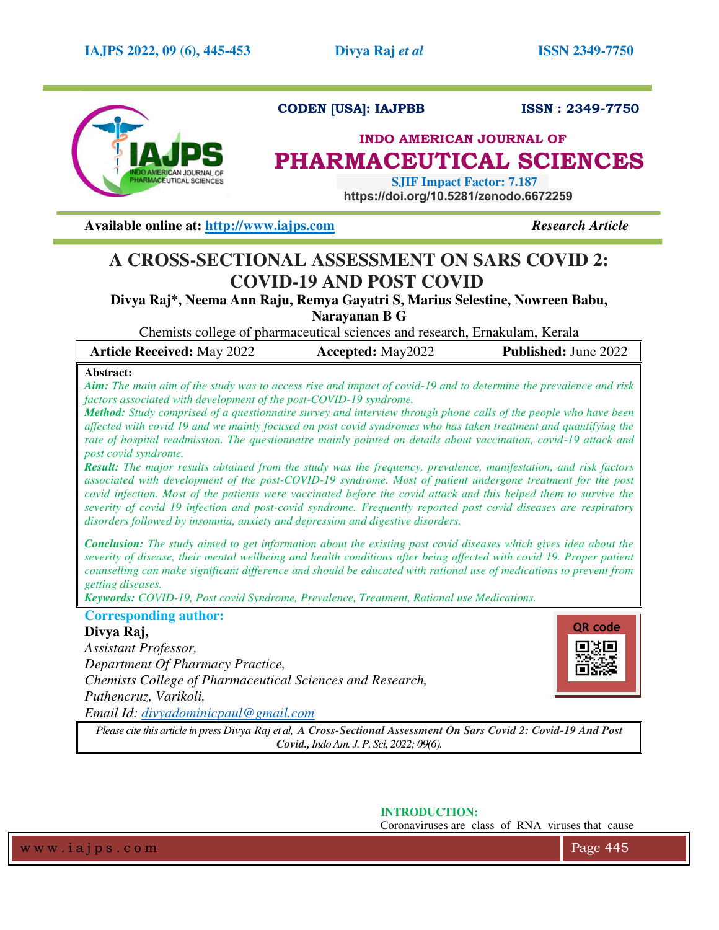

# **CODEN [USA]: IAJPBB ISSN : 2349-7750**

# **INDO AMERICAN JOURNAL OF PHARMACEUTICAL SCIENCES**

 **SJIF Impact Factor: 7.187 https://doi.org/10.5281/zenodo.6672259**

**Available online at: [http://www.iajps.com](http://www.iajps.com/)** *Research Article*

# **A CROSS-SECTIONAL ASSESSMENT ON SARS COVID 2: COVID-19 AND POST COVID**

**Divya Raj\*, Neema Ann Raju, Remya Gayatri S, Marius Selestine, Nowreen Babu, Narayanan B G** 

Chemists college of pharmaceutical sciences and research, Ernakulam, Kerala

| <b>Published:</b> June 2022<br><b>Article Received: May 2022</b><br><b>Accepted:</b> May2022 |
|----------------------------------------------------------------------------------------------|
|----------------------------------------------------------------------------------------------|

# **Abstract:**

*Aim: The main aim of the study was to access rise and impact of covid-19 and to determine the prevalence and risk factors associated with development of the post-COVID-19 syndrome.* 

*Method: Study comprised of a questionnaire survey and interview through phone calls of the people who have been affected with covid 19 and we mainly focused on post covid syndromes who has taken treatment and quantifying the rate of hospital readmission. The questionnaire mainly pointed on details about vaccination, covid-19 attack and post covid syndrome.* 

*Result: The major results obtained from the study was the frequency, prevalence, manifestation, and risk factors associated with development of the post-COVID-19 syndrome. Most of patient undergone treatment for the post covid infection. Most of the patients were vaccinated before the covid attack and this helped them to survive the severity of covid 19 infection and post-covid syndrome. Frequently reported post covid diseases are respiratory disorders followed by insomnia, anxiety and depression and digestive disorders.* 

*Conclusion: The study aimed to get information about the existing post covid diseases which gives idea about the severity of disease, their mental wellbeing and health conditions after being affected with covid 19. Proper patient counselling can make significant difference and should be educated with rational use of medications to prevent from getting diseases.* 

*Keywords: COVID-19, Post covid Syndrome, Prevalence, Treatment, Rational use Medications.* 

# **Corresponding author:**

# **Divya Raj,**

*Assistant Professor, Department Of Pharmacy Practice, Chemists College of Pharmaceutical Sciences and Research, Puthencruz, Varikoli, Email Id: [divyadominicpaul@gmail.com](mailto:divyadominicpaul@gmail.com)*



*Please cite this article in press Divya Raj et al, A Cross-Sectional Assessment On Sars Covid 2: Covid-19 And Post Covid., Indo Am. J. P. Sci, 2022; 09(6).* 

**INTRODUCTION:** 

Coronaviruses are class of RNA viruses that cause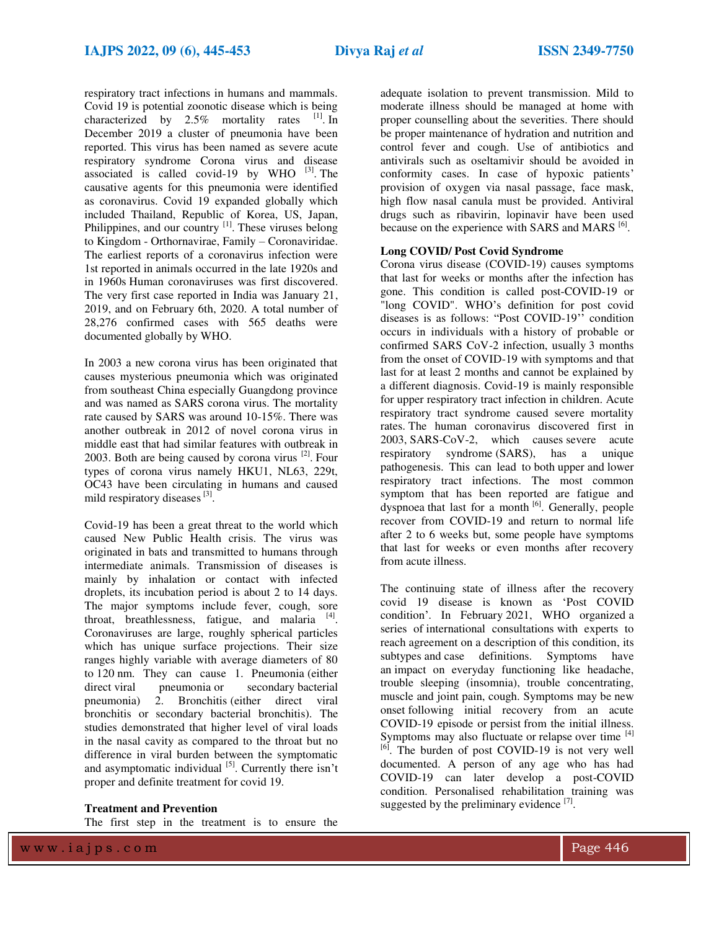respiratory tract infections in humans and mammals. Covid 19 is potential zoonotic disease which is being characterized by  $2.5\%$  mortality rates  $^{[1]}$ . In December 2019 a cluster of pneumonia have been reported. This virus has been named as severe acute respiratory syndrome Corona virus and disease associated is called covid-19 by WHO  $^{[3]}$ . The causative agents for this pneumonia were identified as coronavirus. Covid 19 expanded globally which included Thailand, Republic of Korea, US, Japan, Philippines, and our country <sup>[1]</sup>. These viruses belong to Kingdom - Orthornavirae, Family – Coronaviridae. The earliest reports of a coronavirus infection were 1st reported in animals occurred in the late 1920s and in 1960s Human coronaviruses was first discovered. The very first case reported in India was January 21, 2019, and on February 6th, 2020. A total number of 28,276 confirmed cases with 565 deaths were documented globally by WHO.

In 2003 a new corona virus has been originated that causes mysterious pneumonia which was originated from southeast China especially Guangdong province and was named as SARS corona virus. The mortality rate caused by SARS was around 10-15%. There was another outbreak in 2012 of novel corona virus in middle east that had similar features with outbreak in 2003. Both are being caused by corona virus  $^{[2]}$ . Four types of corona virus namely HKU1, NL63, 229t, OC43 have been circulating in humans and caused mild respiratory diseases [3].

Covid-19 has been a great threat to the world which caused New Public Health crisis. The virus was originated in bats and transmitted to humans through intermediate animals. Transmission of diseases is mainly by inhalation or contact with infected droplets, its incubation period is about 2 to 14 days. The major symptoms include fever, cough, sore throat, breathlessness, fatigue, and malaria <sup>[4]</sup>. Coronaviruses are large, roughly spherical particles which has unique surface projections. Their size ranges highly variable with average diameters of 80 to 120 nm. They can cause 1. Pneumonia (either direct viral pneumonia or secondary bacterial pneumonia) 2. Bronchitis (either direct viral bronchitis or secondary bacterial bronchitis). The studies demonstrated that higher level of viral loads in the nasal cavity as compared to the throat but no difference in viral burden between the symptomatic and asymptomatic individual [5]. Currently there isn't proper and definite treatment for covid 19.

#### **Treatment and Prevention**

The first step in the treatment is to ensure the

adequate isolation to prevent transmission. Mild to moderate illness should be managed at home with proper counselling about the severities. There should be proper maintenance of hydration and nutrition and control fever and cough. Use of antibiotics and antivirals such as oseltamivir should be avoided in conformity cases. In case of hypoxic patients' provision of oxygen via nasal passage, face mask, high flow nasal canula must be provided. Antiviral drugs such as ribavirin, lopinavir have been used because on the experience with SARS and MARS<sup>[6]</sup>.

### **Long COVID/ Post Covid Syndrome**

Corona virus disease (COVID-19) causes symptoms that last for weeks or months after the infection has gone. This condition is called post-COVID-19 or "long COVID". WHO's definition for post covid diseases is as follows: "Post COVID-19'' condition occurs in individuals with a history of probable or confirmed SARS CoV-2 infection, usually 3 months from the onset of COVID-19 with symptoms and that last for at least 2 months and cannot be explained by a different diagnosis. Covid-19 is mainly responsible for upper respiratory tract infection in children. Acute respiratory tract syndrome caused severe mortality rates. The human coronavirus discovered first in 2003, SARS-CoV-2, which causes severe acute respiratory syndrome (SARS), has a unique pathogenesis. This can lead to both upper and lower respiratory tract infections. The most common symptom that has been reported are fatigue and dyspnoea that last for a month <sup>[6]</sup>. Generally, people recover from COVID-19 and return to normal life after 2 to 6 weeks but, some people have symptoms that last for weeks or even months after recovery from acute illness.

The continuing state of illness after the recovery covid 19 disease is known as 'Post COVID condition'. In February 2021, WHO organized a series of international consultations with experts to reach agreement on a description of this condition, its subtypes and case definitions. Symptoms have an impact on everyday functioning like headache, trouble sleeping (insomnia), trouble concentrating, muscle and joint pain, cough. Symptoms may be new onset following initial recovery from an acute COVID-19 episode or persist from the initial illness. Symptoms may also fluctuate or relapse over time [4] [6]. The burden of post COVID-19 is not very well documented. A person of any age who has had COVID-19 can later develop a post-COVID condition. Personalised rehabilitation training was suggested by the preliminary evidence  $[7]$ .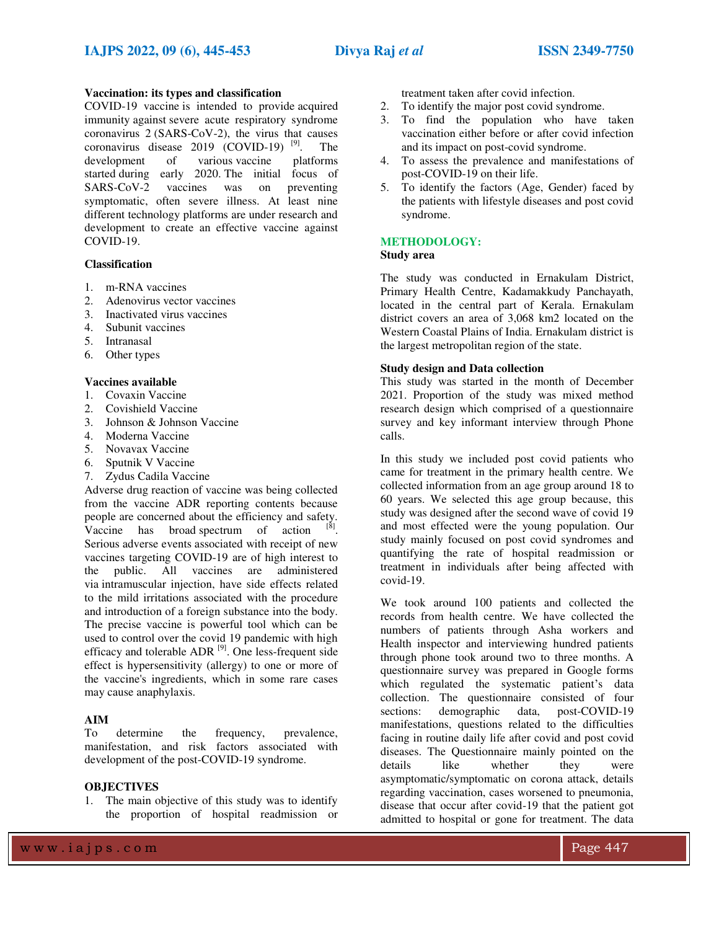### **Vaccination: its types and classification**

COVID-19 vaccine is intended to provid[e acquired](https://en.wikipedia.org/wiki/Acquired_immunity)  [immunity](https://en.wikipedia.org/wiki/Acquired_immunity) against [severe acute respiratory syndrome](https://en.wikipedia.org/wiki/Severe_acute_respiratory_syndrome_coronavirus_2)  [coronavirus 2](https://en.wikipedia.org/wiki/Severe_acute_respiratory_syndrome_coronavirus_2) (SARS-CoV-2), the virus that causes coronavirus disease  $2019$  [\(COVID-19\)](https://en.wikipedia.org/wiki/COVID%E2%80%9119)<sup>[9]</sup>. [9]. The development of variou[s vaccine platforms](https://en.wikipedia.org/wiki/Vaccine_platform)  started during early 2020. The initial focus of SARS-CoV-2 vaccines was on preventing symptomatic, often severe illness. At least nine different technology platforms are under research and development to create an effective vaccine against COVID-19.

## **Classification**

- 1. m-RNA vaccines
- 2. Adenovirus vector vaccines
- 3. Inactivated virus vaccines
- 4. Subunit vaccines
- 5. Intranasal
- 6. Other types

# **Vaccines available**

- 1. Covaxin Vaccine
- 2. Covishield Vaccine
- 3. Johnson & Johnson Vaccine
- 4. Moderna Vaccine
- 5. Novavax Vaccine
- 6. Sputnik V Vaccine
- 7. Zydus Cadila Vaccine

Adverse drug reaction of vaccine was being collected from the vaccine ADR reporting contents because people are concerned about the efficiency and safety. Vaccine has broad spectrum of action . Serious [adverse events a](https://en.wikipedia.org/wiki/Vaccine_adverse_event)ssociated with receipt of new vaccines targeting COVID-19 are of high interest to the public. All vaccines are administered vi[a intramuscular injection,](https://en.wikipedia.org/wiki/Intramuscular_injection) have side effects related to the mild irritations associated with the procedure and introduction of a foreign substance into the body. The precise vaccine is powerful tool which can be used to control over the covid 19 pandemic with high efficacy and tolerable  $\text{ADR}^{[9]}$ . One less-frequent side effect is hypersensitivity (allergy) to one or more of the vaccine's ingredients, which in some rare cases may cause [anaphylaxis.](https://en.wikipedia.org/wiki/Anaphylaxis)

### **AIM**

To determine the frequency, prevalence, manifestation, and risk factors associated with development of the post-COVID-19 syndrome.

# **OBJECTIVES**

1. The main objective of this study was to identify the proportion of hospital readmission or treatment taken after covid infection.

- 2. To identify the major post covid syndrome.
- 3. To find the population who have taken vaccination either before or after covid infection and its impact on post-covid syndrome.
- 4. To assess the prevalence and manifestations of post-COVID-19 on their life.
- 5. To identify the factors (Age, Gender) faced by the patients with lifestyle diseases and post covid syndrome.

# **METHODOLOGY:**

# **Study area**

The study was conducted in Ernakulam District, Primary Health Centre, Kadamakkudy Panchayath, located in the central part of Kerala. Ernakulam district covers an area of 3,068 km2 located on the Western Coastal Plains of India. Ernakulam district is the largest metropolitan region of the state.

#### **Study design and Data collection**

This study was started in the month of December 2021. Proportion of the study was mixed method research design which comprised of a questionnaire survey and key informant interview through Phone calls.

In this study we included post covid patients who came for treatment in the primary health centre. We collected information from an age group around 18 to 60 years. We selected this age group because, this study was designed after the second wave of covid 19 and most effected were the young population. Our study mainly focused on post covid syndromes and quantifying the rate of hospital readmission or treatment in individuals after being affected with covid-19.

We took around 100 patients and collected the records from health centre. We have collected the numbers of patients through Asha workers and Health inspector and interviewing hundred patients through phone took around two to three months. A questionnaire survey was prepared in Google forms which regulated the systematic patient's data collection. The questionnaire consisted of four sections: demographic data, post-COVID-19 manifestations, questions related to the difficulties facing in routine daily life after covid and post covid diseases. The Questionnaire mainly pointed on the details like whether they were asymptomatic/symptomatic on corona attack, details regarding vaccination, cases worsened to pneumonia, disease that occur after covid-19 that the patient got admitted to hospital or gone for treatment. The data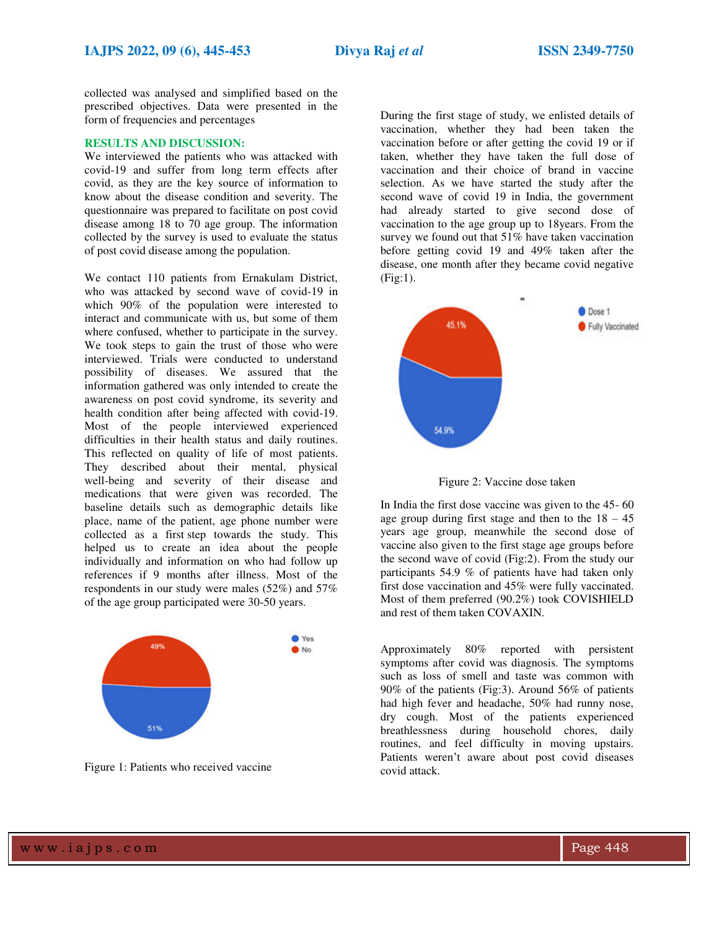collected was analysed and simplified based on the prescribed objectives. Data were presented in the form of frequencies and percentages

### **RESULTS AND DISCUSSION:**

We interviewed the patients who was attacked with covid-19 and suffer from long term effects after covid, as they are the key source of information to know about the disease condition and severity. The questionnaire was prepared to facilitate on post covid disease among 18 to 70 age group. The information collected by the survey is used to evaluate the status of post covid disease among the population.

We contact 110 patients from Ernakulam District, who was attacked by second wave of covid-19 in which 90% of the population were interested to interact and communicate with us, but some of them where confused, whether to participate in the survey. We took steps to gain the trust of those who were interviewed. Trials were conducted to understand possibility of diseases. We assured that the information gathered was only intended to create the awareness on post covid syndrome, its severity and health condition after being affected with covid-19. Most of the people interviewed experienced difficulties in their health status and daily routines. This reflected on quality of life of most patients. They described about their mental, physical well-being and severity of their disease and medications that were given was recorded. The baseline details such as demographic details like place, name of the patient, age phone number were collected as a first step towards the study. This helped us to create an idea about the people individually and information on who had follow up references if 9 months after illness. Most of the respondents in our study were males (52%) and 57% of the age group participated were 30-50 years.



Figure 1: Patients who received vaccine

During the first stage of study, we enlisted details of vaccination, whether they had been taken the vaccination before or after getting the covid 19 or if taken, whether they have taken the full dose of vaccination and their choice of brand in vaccine selection. As we have started the study after the second wave of covid 19 in India, the government had already started to give second dose of vaccination to the age group up to 18years. From the survey we found out that 51% have taken vaccination before getting covid 19 and 49% taken after the disease, one month after they became covid negative (Fig:1).



Figure 2: Vaccine dose taken

In India the first dose vaccine was given to the 45- 60 age group during first stage and then to the  $18 - 45$ years age group, meanwhile the second dose of vaccine also given to the first stage age groups before the second wave of covid (Fig:2). From the study our participants 54.9 % of patients have had taken only first dose vaccination and 45% were fully vaccinated. Most of them preferred (90.2%) took COVISHIELD and rest of them taken COVAXIN.

Approximately 80% reported with persistent symptoms after covid was diagnosis. The symptoms such as loss of smell and taste was common with 90% of the patients (Fig:3). Around 56% of patients had high fever and headache, 50% had runny nose, dry cough. Most of the patients experienced breathlessness during household chores, daily routines, and feel difficulty in moving upstairs. Patients weren't aware about post covid diseases covid attack.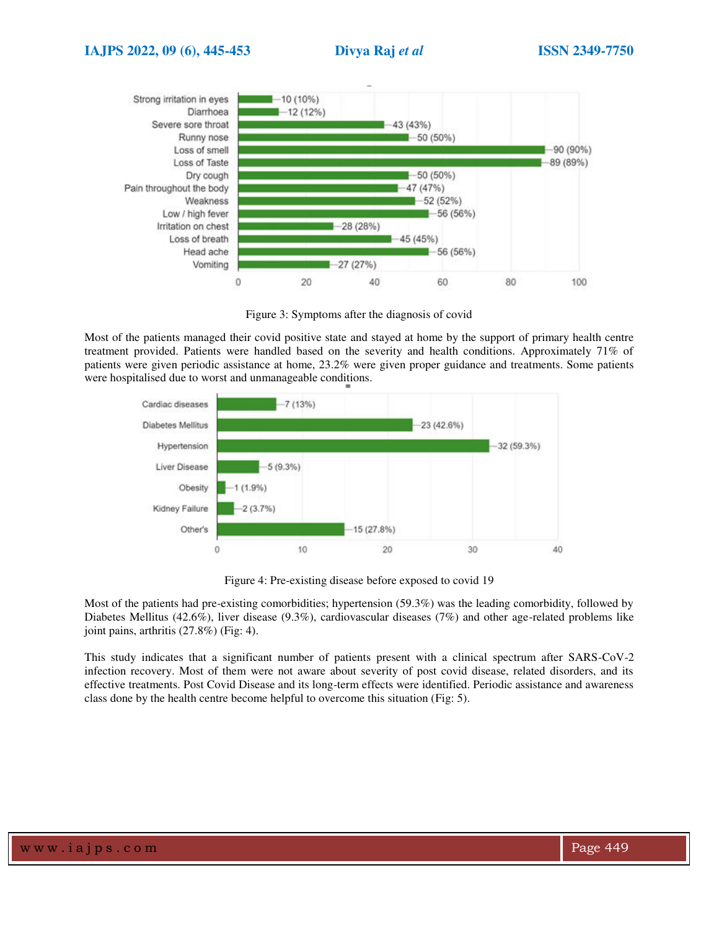

Figure 3: Symptoms after the diagnosis of covid

Most of the patients managed their covid positive state and stayed at home by the support of primary health centre treatment provided. Patients were handled based on the severity and health conditions. Approximately 71% of patients were given periodic assistance at home, 23.2% were given proper guidance and treatments. Some patients were hospitalised due to worst and unmanageable conditions.



Figure 4: Pre-existing disease before exposed to covid 19

Most of the patients had pre-existing comorbidities; hypertension (59.3%) was the leading comorbidity, followed by Diabetes Mellitus (42.6%), liver disease (9.3%), cardiovascular diseases (7%) and other age-related problems like joint pains, arthritis (27.8%) (Fig: 4).

This study indicates that a significant number of patients present with a clinical spectrum after SARS-CoV-2 infection recovery. Most of them were not aware about severity of post covid disease, related disorders, and its effective treatments. Post Covid Disease and its long-term effects were identified. Periodic assistance and awareness class done by the health centre become helpful to overcome this situation (Fig: 5).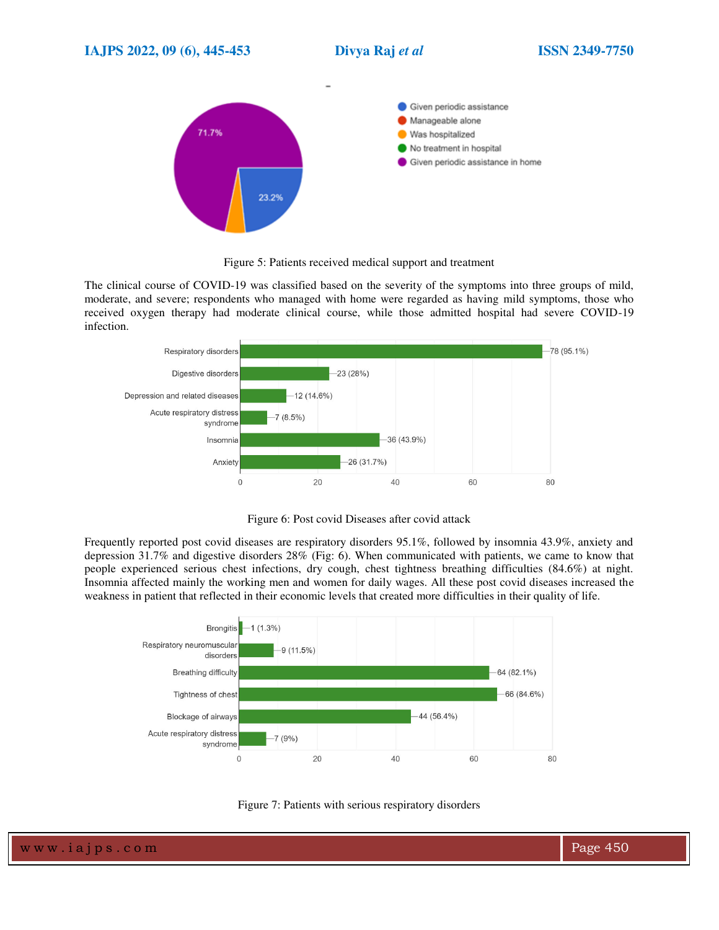

Figure 5: Patients received medical support and treatment

The clinical course of COVID-19 was classified based on the severity of the symptoms into three groups of mild, moderate, and severe; respondents who managed with home were regarded as having mild symptoms, those who received oxygen therapy had moderate clinical course, while those admitted hospital had severe COVID-19 infection.



Figure 6: Post covid Diseases after covid attack

Frequently reported post covid diseases are respiratory disorders 95.1%, followed by insomnia 43.9%, anxiety and depression 31.7% and digestive disorders 28% (Fig: 6). When communicated with patients, we came to know that people experienced serious chest infections, dry cough, chest tightness breathing difficulties (84.6%) at night. Insomnia affected mainly the working men and women for daily wages. All these post covid diseases increased the weakness in patient that reflected in their economic levels that created more difficulties in their quality of life.



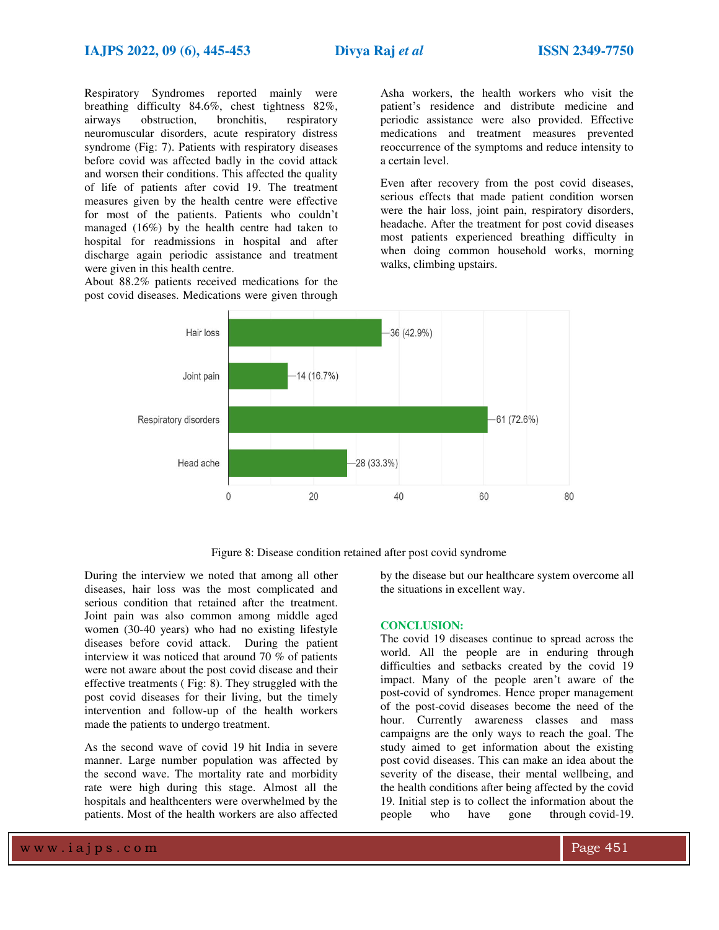Respiratory Syndromes reported mainly were breathing difficulty 84.6%, chest tightness 82%, airways obstruction, bronchitis, respiratory neuromuscular disorders, acute respiratory distress syndrome (Fig: 7). Patients with respiratory diseases before covid was affected badly in the covid attack and worsen their conditions. This affected the quality of life of patients after covid 19. The treatment measures given by the health centre were effective for most of the patients. Patients who couldn't managed (16%) by the health centre had taken to hospital for readmissions in hospital and after discharge again periodic assistance and treatment were given in this health centre.

About 88.2% patients received medications for the post covid diseases. Medications were given through

Asha workers, the health workers who visit the patient's residence and distribute medicine and periodic assistance were also provided. Effective medications and treatment measures prevented reoccurrence of the symptoms and reduce intensity to a certain level.

Even after recovery from the post covid diseases, serious effects that made patient condition worsen were the hair loss, joint pain, respiratory disorders, headache. After the treatment for post covid diseases most patients experienced breathing difficulty in when doing common household works, morning walks, climbing upstairs.



Figure 8: Disease condition retained after post covid syndrome

During the interview we noted that among all other diseases, hair loss was the most complicated and serious condition that retained after the treatment. Joint pain was also common among middle aged women (30-40 years) who had no existing lifestyle diseases before covid attack. During the patient interview it was noticed that around 70 % of patients were not aware about the post covid disease and their effective treatments ( Fig: 8). They struggled with the post covid diseases for their living, but the timely intervention and follow-up of the health workers made the patients to undergo treatment.

As the second wave of covid 19 hit India in severe manner. Large number population was affected by the second wave. The mortality rate and morbidity rate were high during this stage. Almost all the hospitals and healthcenters were overwhelmed by the patients. Most of the health workers are also affected

by the disease but our healthcare system overcome all the situations in excellent way.

#### **CONCLUSION:**

The covid 19 diseases continue to spread across the world. All the people are in enduring through difficulties and setbacks created by the covid 19 impact. Many of the people aren't aware of the post-covid of syndromes. Hence proper management of the post-covid diseases become the need of the hour. Currently awareness classes and mass campaigns are the only ways to reach the goal. The study aimed to get information about the existing post covid diseases. This can make an idea about the severity of the disease, their mental wellbeing, and the health conditions after being affected by the covid 19. Initial step is to collect the information about the people who have gone through covid-19.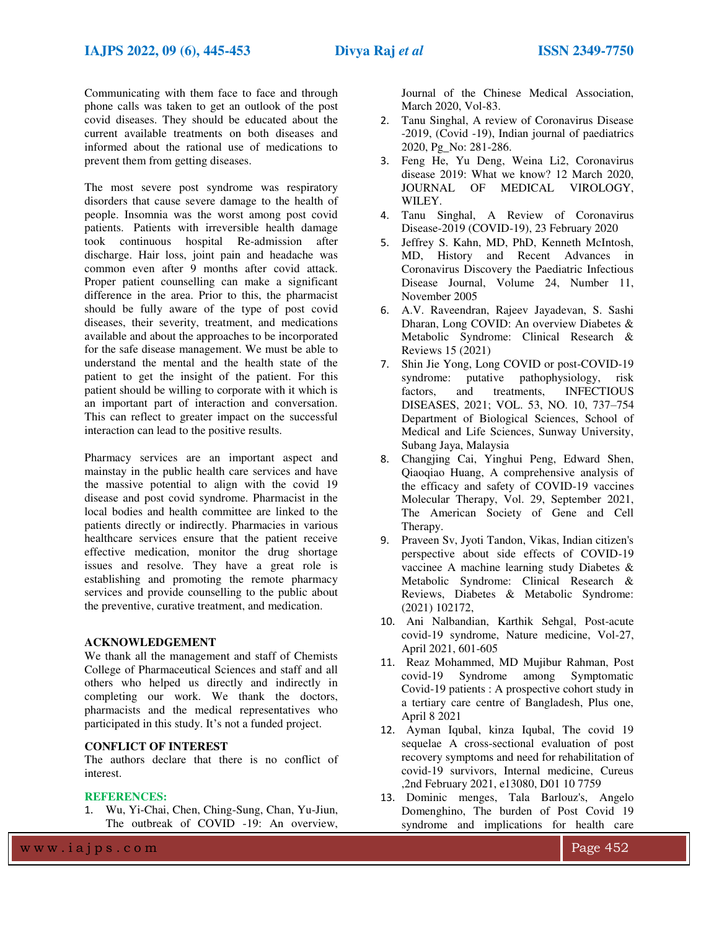Communicating with them face to face and through phone calls was taken to get an outlook of the post covid diseases. They should be educated about the current available treatments on both diseases and informed about the rational use of medications to prevent them from getting diseases.

The most severe post syndrome was respiratory disorders that cause severe damage to the health of people. Insomnia was the worst among post covid patients. Patients with irreversible health damage took continuous hospital Re-admission after discharge. Hair loss, joint pain and headache was common even after 9 months after covid attack. Proper patient counselling can make a significant difference in the area. Prior to this, the pharmacist should be fully aware of the type of post covid diseases, their severity, treatment, and medications available and about the approaches to be incorporated for the safe disease management. We must be able to understand the mental and the health state of the patient to get the insight of the patient. For this patient should be willing to corporate with it which is an important part of interaction and conversation. This can reflect to greater impact on the successful interaction can lead to the positive results.

Pharmacy services are an important aspect and mainstay in the public health care services and have the massive potential to align with the covid 19 disease and post covid syndrome. Pharmacist in the local bodies and health committee are linked to the patients directly or indirectly. Pharmacies in various healthcare services ensure that the patient receive effective medication, monitor the drug shortage issues and resolve. They have a great role is establishing and promoting the remote pharmacy services and provide counselling to the public about the preventive, curative treatment, and medication.

### **ACKNOWLEDGEMENT**

We thank all the management and staff of Chemists College of Pharmaceutical Sciences and staff and all others who helped us directly and indirectly in completing our work. We thank the doctors, pharmacists and the medical representatives who participated in this study. It's not a funded project.

# **CONFLICT OF INTEREST**

The authors declare that there is no conflict of interest.

#### **REFERENCES:**

1. Wu, Yi-Chai, Chen, Ching-Sung, Chan, Yu-Jiun, The outbreak of COVID -19: An overview, Journal of the Chinese Medical Association, March 2020, Vol-83.

- 2. Tanu Singhal, A review of Coronavirus Disease -2019, (Covid -19), Indian journal of paediatrics 2020, Pg\_No: 281-286.
- 3. Feng He, Yu Deng, Weina Li2, Coronavirus disease 2019: What we know? 12 March 2020, JOURNAL OF MEDICAL VIROLOGY, WILEY.
- 4. Tanu Singhal, A Review of Coronavirus Disease-2019 (COVID-19), 23 February 2020
- 5. Jeffrey S. Kahn, MD, PhD, Kenneth McIntosh, MD, History and Recent Advances in Coronavirus Discovery the Paediatric Infectious Disease Journal, Volume 24, Number 11, November 2005
- 6. A.V. Raveendran, Rajeev Jayadevan, S. Sashi Dharan, Long COVID: An overview Diabetes & Metabolic Syndrome: Clinical Research & Reviews 15 (2021)
- 7. Shin Jie Yong, Long COVID or post-COVID-19 syndrome: putative pathophysiology, risk factors, and treatments, INFECTIOUS DISEASES, 2021; VOL. 53, NO. 10, 737–754 Department of Biological Sciences, School of Medical and Life Sciences, Sunway University, Subang Jaya, Malaysia
- 8. Changjing Cai, Yinghui Peng, Edward Shen, Qiaoqiao Huang, A comprehensive analysis of the efficacy and safety of COVID-19 vaccines Molecular Therapy, Vol. 29, September 2021, The American Society of Gene and Cell Therapy.
- 9. Praveen Sv, Jyoti Tandon, Vikas, Indian citizen's perspective about side effects of COVID-19 vaccinee A machine learning study Diabetes & Metabolic Syndrome: Clinical Research & Reviews, Diabetes & Metabolic Syndrome: (2021) 102172,
- 10. Ani Nalbandian, Karthik Sehgal, Post-acute covid-19 syndrome, Nature medicine, Vol-27, April 2021, 601-605
- 11. Reaz Mohammed, MD Mujibur Rahman, Post covid-19 Syndrome among Symptomatic Covid-19 patients : A prospective cohort study in a tertiary care centre of Bangladesh, Plus one, April 8 2021
- 12. Ayman Iqubal, kinza Iqubal, The covid 19 sequelae A cross-sectional evaluation of post recovery symptoms and need for rehabilitation of covid-19 survivors, Internal medicine, Cureus ,2nd February 2021, e13080, D01 10 7759
- 13. Dominic menges, Tala Barlouz's, Angelo Domenghino, The burden of Post Covid 19 syndrome and implications for health care